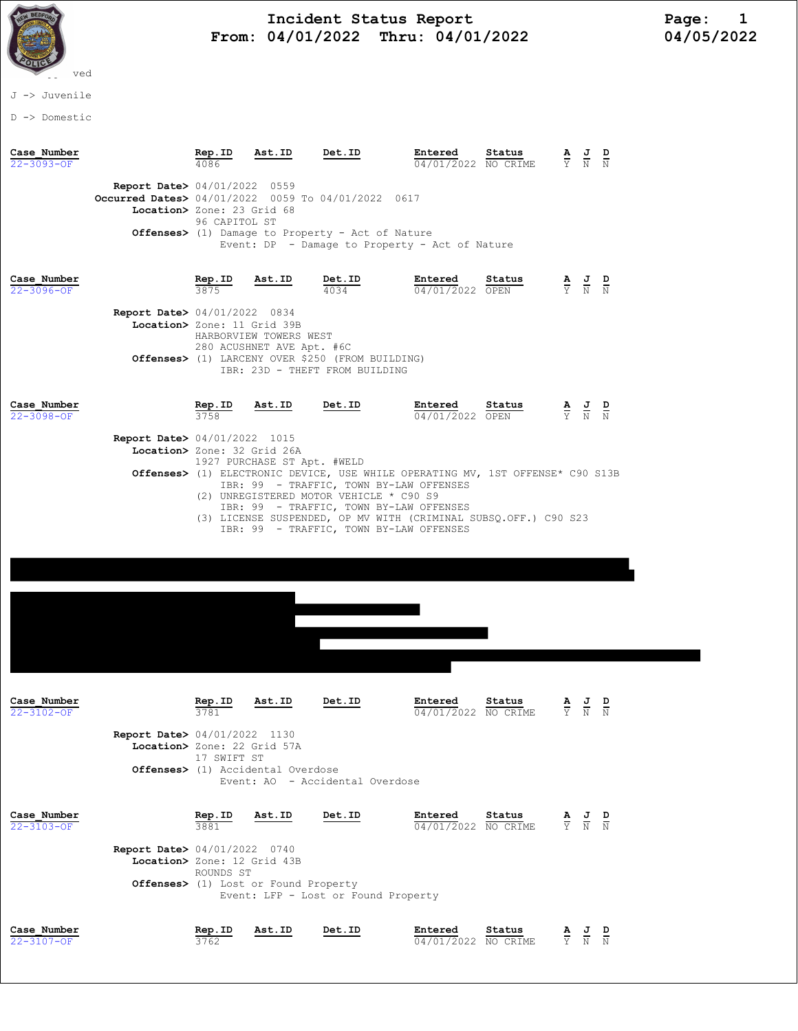

## Incident Status Report<br>04/01/2022 Thru: 04/01/2022 104/05/2022 From: 04/01/2022 Thru: 04/01/2022

J -> Juvenile

D -> Domestic

| Case Number<br>$22 - 3093 - OF$ |                                                                                                                            | Rep.ID<br>4086              | Ast.ID                                                        | Det.ID                                                                                                                                                                             | Entered<br>04/01/2022 NO CRIME                                                                                                                                                  | Status |                                                                 | $\frac{\mathbf{A}}{\mathbf{Y}}$ $\frac{\mathbf{J}}{\mathbf{N}}$ $\frac{\mathbf{D}}{\mathbf{N}}$ |  |
|---------------------------------|----------------------------------------------------------------------------------------------------------------------------|-----------------------------|---------------------------------------------------------------|------------------------------------------------------------------------------------------------------------------------------------------------------------------------------------|---------------------------------------------------------------------------------------------------------------------------------------------------------------------------------|--------|-----------------------------------------------------------------|-------------------------------------------------------------------------------------------------|--|
|                                 | <b>Report Date&gt;</b> 04/01/2022 0559<br>Occurred Dates> 04/01/2022 0059 To 04/01/2022 0617<br>Location> Zone: 23 Grid 68 | 96 CAPITOL ST               |                                                               | Offenses> (1) Damage to Property - Act of Nature                                                                                                                                   | Event: DP - Damage to Property - Act of Nature                                                                                                                                  |        |                                                                 |                                                                                                 |  |
| Case Number<br>22-3096-OF       | Report Date> 04/01/2022 0834<br>Location> Zone: 11 Grid 39B                                                                | Rep.ID<br>3875              | Ast.ID<br>HARBORVIEW TOWERS WEST<br>280 ACUSHNET AVE Apt. #6C | Det.ID<br>4034<br><b>Offenses&gt;</b> (1) LARCENY OVER \$250 (FROM BUILDING)<br>IBR: 23D - THEFT FROM BUILDING                                                                     | Entered<br>04/01/2022 OPEN                                                                                                                                                      | Status |                                                                 | $\frac{\mathbf{A}}{\mathbf{Y}}$ $\frac{\mathbf{J}}{\mathbf{N}}$ $\frac{\mathbf{D}}{\mathbf{N}}$ |  |
| Case Number<br>$22 - 3098 - OF$ | <b>Report Date&gt; 04/01/2022 1015</b><br>Location> Zone: 32 Grid 26A                                                      | Rep.ID<br>3758              | Ast.ID<br>1927 PURCHASE ST Apt. #WELD                         | Det.ID<br>IBR: 99 - TRAFFIC, TOWN BY-LAW OFFENSES<br>(2) UNREGISTERED MOTOR VEHICLE * C90 S9<br>IBR: 99 - TRAFFIC, TOWN BY-LAW OFFENSES<br>IBR: 99 - TRAFFIC, TOWN BY-LAW OFFENSES | Entered<br>04/01/2022 OPEN<br>Offenses> (1) ELECTRONIC DEVICE, USE WHILE OPERATING MV, 1ST OFFENSE* C90 S13B<br>(3) LICENSE SUSPENDED, OP MV WITH (CRIMINAL SUBSQ.OFF.) C90 S23 | Status |                                                                 | $\frac{\mathbf{A}}{\mathbf{Y}}$ $\frac{\mathbf{J}}{\mathbf{N}}$ $\frac{\mathbf{D}}{\mathbf{N}}$ |  |
|                                 |                                                                                                                            |                             |                                                               |                                                                                                                                                                                    |                                                                                                                                                                                 |        |                                                                 |                                                                                                 |  |
| Case Number<br>22-3102-OF       | <b>Report Date&gt; 04/01/2022 1130</b><br>Location> Zone: 22 Grid 57A                                                      | Rep.ID<br>17 SWIFT ST       | Ast.ID<br>Offenses> (1) Accidental Overdose                   | Det.ID<br>Event: AO - Accidental Overdose                                                                                                                                          | Entered<br>04/01/2022 NO CRIME                                                                                                                                                  | Status | $\frac{\mathbf{A}}{\mathbf{Y}}$ $\frac{\mathbf{J}}{\mathbf{N}}$ | D<br>$\overline{\rm N}$                                                                         |  |
| Case Number<br>$22 - 3103 - OF$ | Report Date> 04/01/2022 0740<br>Location> Zone: 12 Grid 43B                                                                | Rep.ID<br>3881<br>ROUNDS ST | Ast.ID<br>Offenses> (1) Lost or Found Property                | Det.ID<br>Event: LFP - Lost or Found Property                                                                                                                                      | Entered<br>04/01/2022 NO CRIME                                                                                                                                                  | Status |                                                                 | $\frac{\mathbf{A}}{\mathbf{Y}}$ $\frac{\mathbf{J}}{\mathbf{N}}$ $\frac{\mathbf{D}}{\mathbf{N}}$ |  |
| Case Number<br>22-3107-OF       |                                                                                                                            | Rep.ID<br>3762              | Ast.ID                                                        | Det.ID                                                                                                                                                                             | Entered<br>04/01/2022 NO CRIME                                                                                                                                                  | Status |                                                                 | $\frac{\mathbf{A}}{\mathbf{Y}}$ $\frac{\mathbf{J}}{\mathbf{N}}$ $\frac{\mathbf{D}}{\mathbf{N}}$ |  |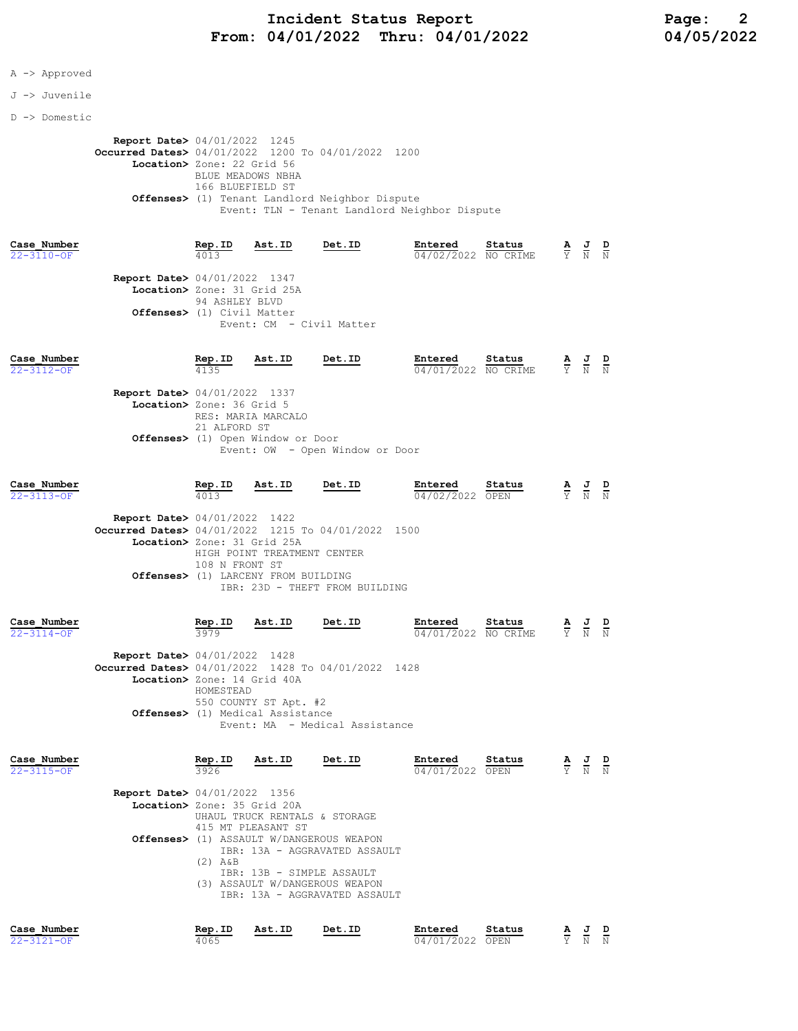## A -> Approved

J -> Juvenile

D -> Domestic

Report Date> 04/01/2022 1245 Occurred Dates> 04/01/2022 1200 To 04/01/2022 1200 Location> Zone: 22 Grid 56 BLUE MEADOWS NBHA 166 BLUEFIELD ST Offenses> (1) Tenant Landlord Neighbor Dispute Event: TLN - Tenant Landlord Neighbor Dispute

| Case Number<br>22-3110-OF |                                                                       | Rep.ID<br>4013 | Ast.ID                   | Det.ID | Entered<br>04/02/2022 NO CRIME | Status | $\frac{A}{2}$ J | Y N N | D |
|---------------------------|-----------------------------------------------------------------------|----------------|--------------------------|--------|--------------------------------|--------|-----------------|-------|---|
|                           | <b>Report Date&gt; 04/01/2022 1347</b><br>Location> Zone: 31 Grid 25A | 94 ASHLEY BLVD |                          |        |                                |        |                 |       |   |
|                           | Offenses> (1) Civil Matter                                            |                | Event: CM - Civil Matter |        |                                |        |                 |       |   |

| D<br>J<br>Y N<br>$\mathbb N$ |
|------------------------------|
|                              |
|                              |
|                              |
|                              |
|                              |
|                              |
|                              |
|                              |

| Case Number<br>22-3113-OF       |                                                    | Rep.ID<br>4013                                | Ast.ID                      | Det.ID                         | Entered<br>04/02/2022 | Status<br>OPEN     | $rac{\mathbf{A}}{\mathbf{Y}}$ | 프<br>N | D<br>N |
|---------------------------------|----------------------------------------------------|-----------------------------------------------|-----------------------------|--------------------------------|-----------------------|--------------------|-------------------------------|--------|--------|
|                                 | <b>Report Date&gt; 04/01/2022 1422</b>             |                                               |                             |                                |                       |                    |                               |        |        |
|                                 | Occurred Dates> 04/01/2022 1215 To 04/01/2022 1500 |                                               |                             |                                |                       |                    |                               |        |        |
|                                 |                                                    | Location> Zone: 31 Grid 25A<br>108 N FRONT ST | HIGH POINT TREATMENT CENTER |                                |                       |                    |                               |        |        |
|                                 |                                                    | <b>Offenses&gt;</b> (1) LARCENY FROM BUILDING |                             | IBR: 23D - THEFT FROM BUILDING |                       |                    |                               |        |        |
| Case Number<br>$22 - 3114 - 0F$ |                                                    | Rep.ID<br>3979                                | Ast.ID                      | Det.ID                         | Entered<br>04/01/2022 | Status<br>NO CRIME | А<br>Y                        | 프<br>N | D<br>N |

| <b>Report Date&gt; 04/01/2022 1428</b>             |
|----------------------------------------------------|
| Occurred Dates> 04/01/2022 1428 To 04/01/2022 1428 |
| Location> Zone: 14 Grid 40A                        |
| HOMESTEAD                                          |
| 550 COUNTY ST Apt. #2                              |
| Offenses> (1) Medical Assistance                   |
| Event: MA - Medical Assistance                     |

| Case Number<br>22-3115-OF | Rep.ID<br>3926                                                        | Ast.ID             | Det.ID                                                                                                                                                                    | Entered<br>04/01/2022 OPEN | Status | A<br>$\frac{1}{\overline{Y}}$ | $\overline{a}$<br>N | D<br>$\mathbf N$ |
|---------------------------|-----------------------------------------------------------------------|--------------------|---------------------------------------------------------------------------------------------------------------------------------------------------------------------------|----------------------------|--------|-------------------------------|---------------------|------------------|
|                           | <b>Report Date&gt; 04/01/2022 1356</b><br>Location> Zone: 35 Grid 20A | 415 MT PLEASANT ST | UHAUL TRUCK RENTALS & STORAGE                                                                                                                                             |                            |        |                               |                     |                  |
|                           | (2)<br>Α&Β                                                            |                    | Offenses> (1) ASSAULT W/DANGEROUS WEAPON<br>IBR: 13A - AGGRAVATED ASSAULT<br>IBR: 13B - SIMPLE ASSAULT<br>(3) ASSAULT W/DANGEROUS WEAPON<br>IBR: 13A - AGGRAVATED ASSAULT |                            |        |                               |                     |                  |
| Case Number               | Rep.ID                                                                | Ast.ID             | Det.ID                                                                                                                                                                    | Entered                    | Status |                               | AJ                  | D                |

22-3121-OF 4065 04/01/2022 OPEN Y N N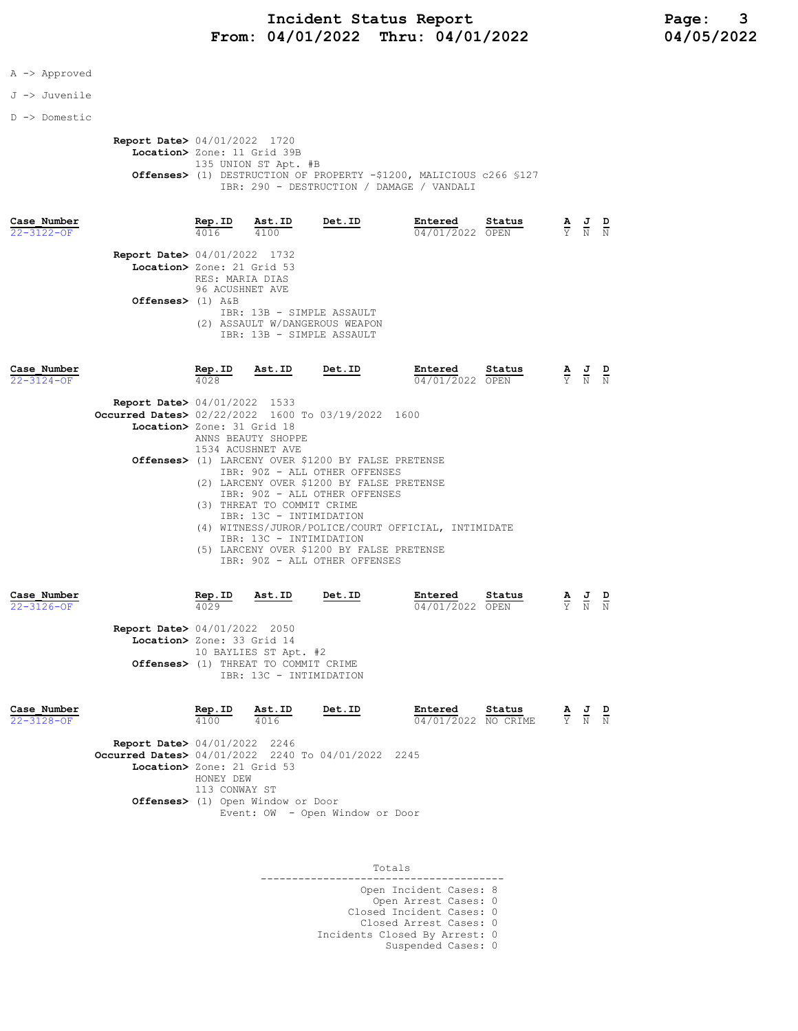## A -> Approved

J -> Juvenile

D -> Domestic

 Report Date> 04/01/2022 1720 Location> Zone: 11 Grid 39B 135 UNION ST Apt. #B Offenses> (1) DESTRUCTION OF PROPERTY -\$1200, MALICIOUS c266 §127 IBR: 290 - DESTRUCTION / DAMAGE / VANDALI

| Case Number<br>22-3122-OF |                                                                      | Rep.ID<br>4016  | Ast.ID<br>4100 | Det.ID                                                                                   | Entered<br>04/01/2022 OPEN | Status | A<br>Y | 프<br>N | ₽<br>N |
|---------------------------|----------------------------------------------------------------------|-----------------|----------------|------------------------------------------------------------------------------------------|----------------------------|--------|--------|--------|--------|
|                           | <b>Report Date&gt;</b> 04/01/2022 1732<br>Location> Zone: 21 Grid 53 | RES: MARIA DIAS |                |                                                                                          |                            |        |        |        |        |
|                           | Offenses> $(1)$ A&B                                                  | 96 ACUSHNET AVE |                | IBR: 13B - SIMPLE ASSAULT<br>(2) ASSAULT W/DANGEROUS WEAPON<br>TBR: 13B - SIMPLE ASSAULT |                            |        |        |        |        |
| Case Number               |                                                                      | Rep.ID          | Ast.ID         | Det.ID                                                                                   | Entered                    | Status | A      | J      | D      |

| 22-3124-OF | 4028                                                         | 04/01/2022 OPEN |  | Y N N |  |
|------------|--------------------------------------------------------------|-----------------|--|-------|--|
|            | <b>Report Date&gt;</b> 04/01/2022 1533                       |                 |  |       |  |
|            | <b>Occurred Dates&gt;</b> 02/22/2022 1600 To 03/19/2022 1600 |                 |  |       |  |
|            | Location> Zone: 31 Grid 18                                   |                 |  |       |  |
|            | ANNS BEAUTY SHOPPE                                           |                 |  |       |  |
|            | 1534 ACUSHNET AVE                                            |                 |  |       |  |
|            | Offenses> (1) LARCENY OVER \$1200 BY FALSE PRETENSE          |                 |  |       |  |
|            | TBR: 90Z - ALL OTHER OFFENSES                                |                 |  |       |  |
|            | (2) LARCENY OVER \$1200 BY FALSE PRETENSE                    |                 |  |       |  |
|            | IBR: 90Z - ALL OTHER OFFENSES                                |                 |  |       |  |
|            | (3) THREAT TO COMMIT CRIME                                   |                 |  |       |  |
|            | IBR: 13C - INTIMIDATION                                      |                 |  |       |  |
|            | WITNESS/JUROR/POLICE/COURT OFFICIAL, INTIMIDATE<br>(4)       |                 |  |       |  |
|            | TBR: 13C - INTIMIDATION                                      |                 |  |       |  |
|            | (5) LARCENY OVER \$1200 BY FALSE PRETENSE                    |                 |  |       |  |
|            | IBR: 90Z - ALL OTHER OFFENSES                                |                 |  |       |  |

| Case Number<br>$22 - 3126 - OF$ |                                                                      | Rep.ID<br>4029 | Ast.ID                                                                                   | Det.ID | Entered<br>04/01/2022 | Status<br>OPEN     | A<br>$\overline{Y}$ | J<br>N        | D<br>N |
|---------------------------------|----------------------------------------------------------------------|----------------|------------------------------------------------------------------------------------------|--------|-----------------------|--------------------|---------------------|---------------|--------|
|                                 | <b>Report Date&gt; 04/01/2022 2050</b><br>Location> Zone: 33 Grid 14 |                | 10 BAYLIES ST Apt. #2<br>Offenses> (1) THREAT TO COMMIT CRIME<br>IBR: 13C - INTIMIDATION |        |                       |                    |                     |               |        |
| Case Number<br>$22 - 3128 - 0F$ |                                                                      | Rep.ID<br>4100 | Ast.ID<br>4016                                                                           | Det.ID | Entered<br>04/01/2022 | Status<br>NO CRIME | А<br>$\overline{Y}$ | $\frac{J}{N}$ | D<br>N |

| <b>Report Date&gt; 04/01/2022 2246</b>                       |
|--------------------------------------------------------------|
| <b>Occurred Dates&gt;</b> 04/01/2022 2240 To 04/01/2022 2245 |
| Location> Zone: 21 Grid 53                                   |
| HONEY DEW                                                    |
| 113 CONWAY ST                                                |
| Offenses> (1) Open Window or Door                            |

Event: OW - Open Window or Door

Totals

| Open Incident Cases: 8        |
|-------------------------------|
| Open Arrest Cases: 0          |
| Closed Incident Cases: 0      |
| Closed Arrest Cases: 0        |
| Incidents Closed By Arrest: 0 |
| Suspended Cases: 0            |